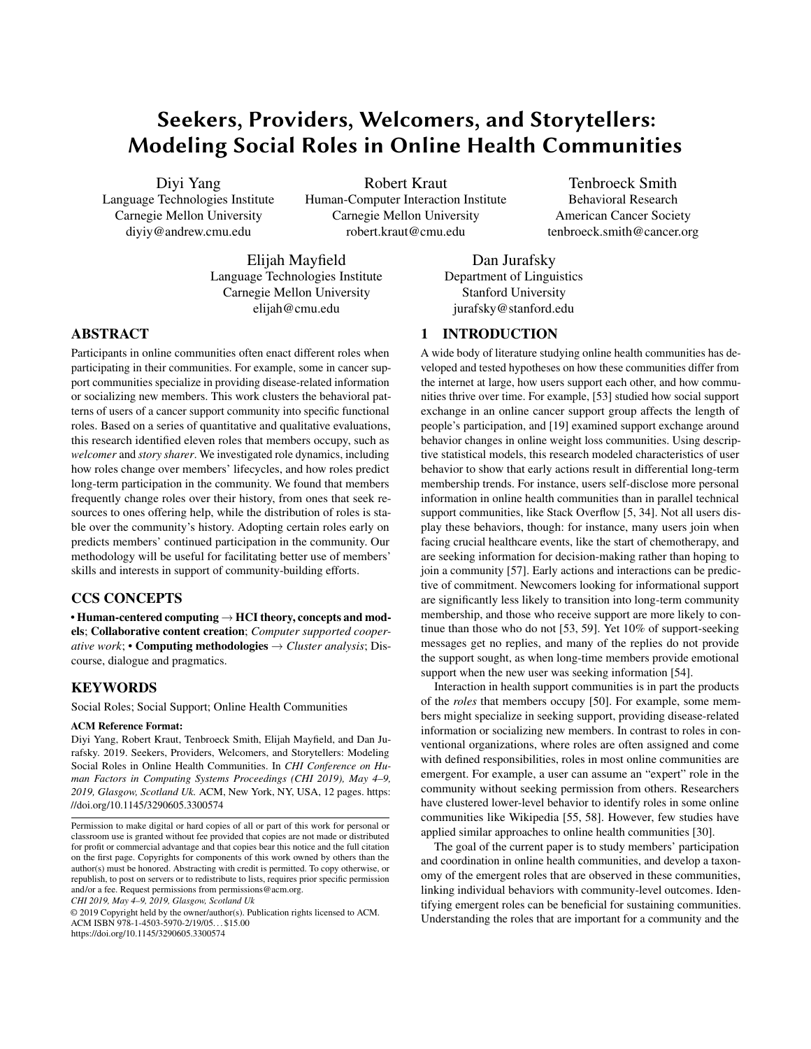# Seekers, Providers, Welcomers, and Storytellers: Modeling Social Roles in Online Health Communities

Diyi Yang Language Technologies Institute Carnegie Mellon University diyiy@andrew.cmu.edu

Robert Kraut Human-Computer Interaction Institute Carnegie Mellon University robert.kraut@cmu.edu

Tenbroeck Smith Behavioral Research American Cancer Society tenbroeck.smith@cancer.org

Elijah Mayfield Language Technologies Institute Carnegie Mellon University elijah@cmu.edu

Dan Jurafsky Department of Linguistics Stanford University jurafsky@stanford.edu

# ABSTRACT

Participants in online communities often enact different roles when participating in their communities. For example, some in cancer support communities specialize in providing disease-related information or socializing new members. This work clusters the behavioral patterns of users of a cancer support community into specific functional roles. Based on a series of quantitative and qualitative evaluations, this research identified eleven roles that members occupy, such as *welcomer* and *story sharer*. We investigated role dynamics, including how roles change over members' lifecycles, and how roles predict long-term participation in the community. We found that members frequently change roles over their history, from ones that seek resources to ones offering help, while the distribution of roles is stable over the community's history. Adopting certain roles early on predicts members' continued participation in the community. Our methodology will be useful for facilitating better use of members' skills and interests in support of community-building efforts.

# CCS CONCEPTS

• Human-centered computing → HCI theory, concepts and models; Collaborative content creation; *Computer supported cooperative work*; • **Computing methodologies**  $\rightarrow$  *Cluster analysis*; Discourse, dialogue and pragmatics.

#### KEYWORDS

Social Roles; Social Support; Online Health Communities

#### ACM Reference Format:

Diyi Yang, Robert Kraut, Tenbroeck Smith, Elijah Mayfield, and Dan Jurafsky. 2019. Seekers, Providers, Welcomers, and Storytellers: Modeling Social Roles in Online Health Communities. In *CHI Conference on Human Factors in Computing Systems Proceedings (CHI 2019), May 4–9, 2019, Glasgow, Scotland Uk.* ACM, New York, NY, USA, [12](#page-11-0) pages. [https:](https://doi.org/10.1145/3290605.3300574) [//doi.org/10.1145/3290605.3300574](https://doi.org/10.1145/3290605.3300574)

*CHI 2019, May 4–9, 2019, Glasgow, Scotland Uk*

© 2019 Copyright held by the owner/author(s). Publication rights licensed to ACM. ACM ISBN 978-1-4503-5970-2/19/05. . . \$15.00 <https://doi.org/10.1145/3290605.3300574>

# 1 INTRODUCTION

A wide body of literature studying online health communities has developed and tested hypotheses on how these communities differ from the internet at large, how users support each other, and how communities thrive over time. For example, [\[53\]](#page-11-1) studied how social support exchange in an online cancer support group affects the length of people's participation, and [\[19\]](#page-10-0) examined support exchange around behavior changes in online weight loss communities. Using descriptive statistical models, this research modeled characteristics of user behavior to show that early actions result in differential long-term membership trends. For instance, users self-disclose more personal information in online health communities than in parallel technical support communities, like Stack Overflow [\[5,](#page-10-1) [34\]](#page-10-2). Not all users display these behaviors, though: for instance, many users join when facing crucial healthcare events, like the start of chemotherapy, and are seeking information for decision-making rather than hoping to join a community [\[57\]](#page-11-2). Early actions and interactions can be predictive of commitment. Newcomers looking for informational support are significantly less likely to transition into long-term community membership, and those who receive support are more likely to continue than those who do not [\[53,](#page-11-1) [59\]](#page-11-3). Yet 10% of support-seeking messages get no replies, and many of the replies do not provide the support sought, as when long-time members provide emotional support when the new user was seeking information [\[54\]](#page-11-4).

Interaction in health support communities is in part the products of the *roles* that members occupy [\[50\]](#page-11-5). For example, some members might specialize in seeking support, providing disease-related information or socializing new members. In contrast to roles in conventional organizations, where roles are often assigned and come with defined responsibilities, roles in most online communities are emergent. For example, a user can assume an "expert" role in the community without seeking permission from others. Researchers have clustered lower-level behavior to identify roles in some online communities like Wikipedia [\[55,](#page-11-6) [58\]](#page-11-7). However, few studies have applied similar approaches to online health communities [\[30\]](#page-10-3).

The goal of the current paper is to study members' participation and coordination in online health communities, and develop a taxonomy of the emergent roles that are observed in these communities, linking individual behaviors with community-level outcomes. Identifying emergent roles can be beneficial for sustaining communities. Understanding the roles that are important for a community and the

Permission to make digital or hard copies of all or part of this work for personal or classroom use is granted without fee provided that copies are not made or distributed for profit or commercial advantage and that copies bear this notice and the full citation on the first page. Copyrights for components of this work owned by others than the author(s) must be honored. Abstracting with credit is permitted. To copy otherwise, or republish, to post on servers or to redistribute to lists, requires prior specific permission and/or a fee. Request permissions from permissions@acm.org.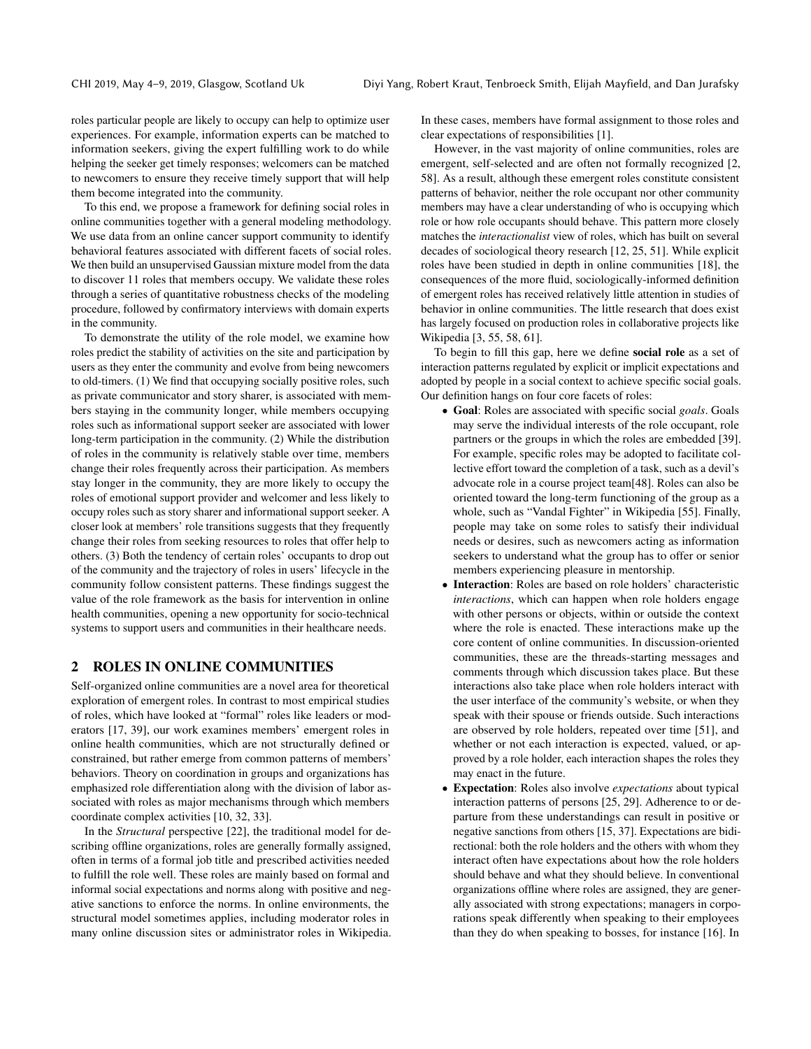roles particular people are likely to occupy can help to optimize user experiences. For example, information experts can be matched to information seekers, giving the expert fulfilling work to do while helping the seeker get timely responses; welcomers can be matched to newcomers to ensure they receive timely support that will help them become integrated into the community.

To this end, we propose a framework for defining social roles in online communities together with a general modeling methodology. We use data from an online cancer support community to identify behavioral features associated with different facets of social roles. We then build an unsupervised Gaussian mixture model from the data to discover 11 roles that members occupy. We validate these roles through a series of quantitative robustness checks of the modeling procedure, followed by confirmatory interviews with domain experts in the community.

To demonstrate the utility of the role model, we examine how roles predict the stability of activities on the site and participation by users as they enter the community and evolve from being newcomers to old-timers. (1) We find that occupying socially positive roles, such as private communicator and story sharer, is associated with members staying in the community longer, while members occupying roles such as informational support seeker are associated with lower long-term participation in the community. (2) While the distribution of roles in the community is relatively stable over time, members change their roles frequently across their participation. As members stay longer in the community, they are more likely to occupy the roles of emotional support provider and welcomer and less likely to occupy roles such as story sharer and informational support seeker. A closer look at members' role transitions suggests that they frequently change their roles from seeking resources to roles that offer help to others. (3) Both the tendency of certain roles' occupants to drop out of the community and the trajectory of roles in users' lifecycle in the community follow consistent patterns. These findings suggest the value of the role framework as the basis for intervention in online health communities, opening a new opportunity for socio-technical systems to support users and communities in their healthcare needs.

# 2 ROLES IN ONLINE COMMUNITIES

Self-organized online communities are a novel area for theoretical exploration of emergent roles. In contrast to most empirical studies of roles, which have looked at "formal" roles like leaders or moderators [\[17,](#page-10-4) [39\]](#page-10-5), our work examines members' emergent roles in online health communities, which are not structurally defined or constrained, but rather emerge from common patterns of members' behaviors. Theory on coordination in groups and organizations has emphasized role differentiation along with the division of labor associated with roles as major mechanisms through which members coordinate complex activities [\[10,](#page-10-6) [32,](#page-10-7) [33\]](#page-10-8).

In the *Structural* perspective [\[22\]](#page-10-9), the traditional model for describing offline organizations, roles are generally formally assigned, often in terms of a formal job title and prescribed activities needed to fulfill the role well. These roles are mainly based on formal and informal social expectations and norms along with positive and negative sanctions to enforce the norms. In online environments, the structural model sometimes applies, including moderator roles in many online discussion sites or administrator roles in Wikipedia. In these cases, members have formal assignment to those roles and clear expectations of responsibilities [\[1\]](#page-10-10).

However, in the vast majority of online communities, roles are emergent, self-selected and are often not formally recognized [\[2,](#page-10-11) [58\]](#page-11-7). As a result, although these emergent roles constitute consistent patterns of behavior, neither the role occupant nor other community members may have a clear understanding of who is occupying which role or how role occupants should behave. This pattern more closely matches the *interactionalist* view of roles, which has built on several decades of sociological theory research [\[12,](#page-10-12) [25,](#page-10-13) [51\]](#page-11-8). While explicit roles have been studied in depth in online communities [\[18\]](#page-10-14), the consequences of the more fluid, sociologically-informed definition of emergent roles has received relatively little attention in studies of behavior in online communities. The little research that does exist has largely focused on production roles in collaborative projects like Wikipedia [\[3,](#page-10-15) [55,](#page-11-6) [58,](#page-11-7) [61\]](#page-11-9).

To begin to fill this gap, here we define social role as a set of interaction patterns regulated by explicit or implicit expectations and adopted by people in a social context to achieve specific social goals. Our definition hangs on four core facets of roles:

- ' Goal: Roles are associated with specific social *goals*. Goals may serve the individual interests of the role occupant, role partners or the groups in which the roles are embedded [\[39\]](#page-10-5). For example, specific roles may be adopted to facilitate collective effort toward the completion of a task, such as a devil's advocate role in a course project team[\[48\]](#page-10-16). Roles can also be oriented toward the long-term functioning of the group as a whole, such as "Vandal Fighter" in Wikipedia [\[55\]](#page-11-6). Finally, people may take on some roles to satisfy their individual needs or desires, such as newcomers acting as information seekers to understand what the group has to offer or senior members experiencing pleasure in mentorship.
- ' Interaction: Roles are based on role holders' characteristic *interactions*, which can happen when role holders engage with other persons or objects, within or outside the context where the role is enacted. These interactions make up the core content of online communities. In discussion-oriented communities, these are the threads-starting messages and comments through which discussion takes place. But these interactions also take place when role holders interact with the user interface of the community's website, or when they speak with their spouse or friends outside. Such interactions are observed by role holders, repeated over time [\[51\]](#page-11-8), and whether or not each interaction is expected, valued, or approved by a role holder, each interaction shapes the roles they may enact in the future.
- ' Expectation: Roles also involve *expectations* about typical interaction patterns of persons [\[25,](#page-10-13) [29\]](#page-10-17). Adherence to or departure from these understandings can result in positive or negative sanctions from others [\[15,](#page-10-18) [37\]](#page-10-19). Expectations are bidirectional: both the role holders and the others with whom they interact often have expectations about how the role holders should behave and what they should believe. In conventional organizations offline where roles are assigned, they are generally associated with strong expectations; managers in corporations speak differently when speaking to their employees than they do when speaking to bosses, for instance [\[16\]](#page-10-20). In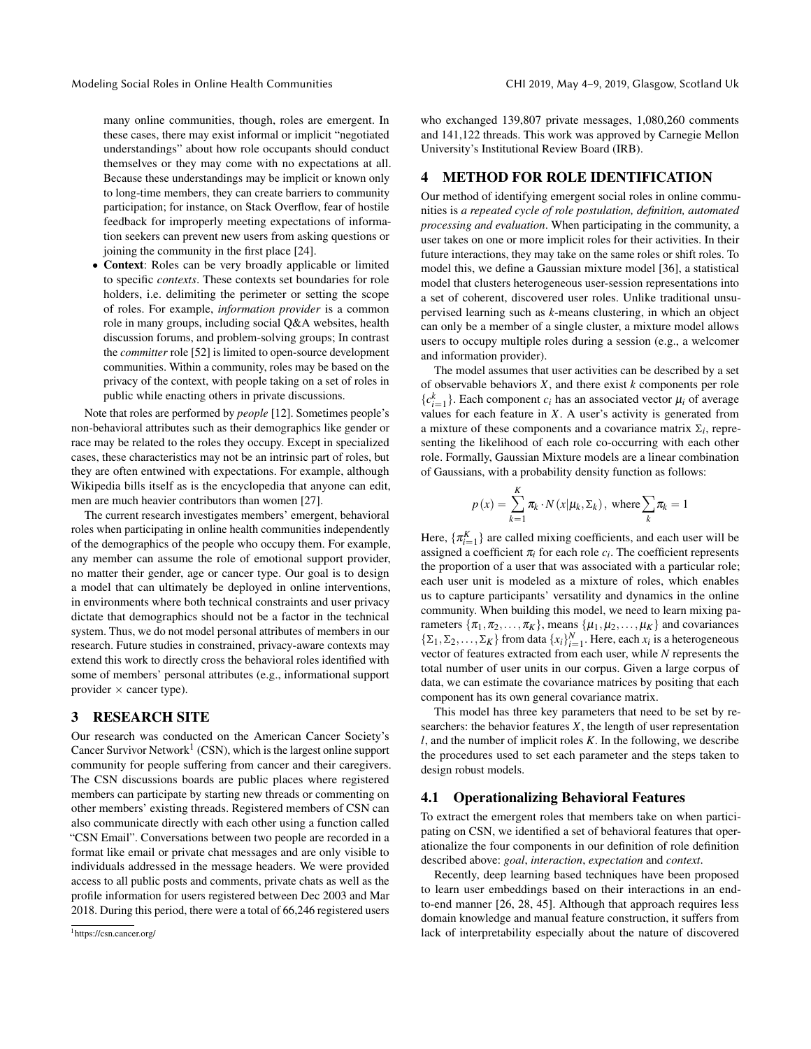many online communities, though, roles are emergent. In these cases, there may exist informal or implicit "negotiated understandings" about how role occupants should conduct themselves or they may come with no expectations at all. Because these understandings may be implicit or known only to long-time members, they can create barriers to community participation; for instance, on Stack Overflow, fear of hostile feedback for improperly meeting expectations of information seekers can prevent new users from asking questions or joining the community in the first place [\[24\]](#page-10-21).

' Context: Roles can be very broadly applicable or limited to specific *contexts*. These contexts set boundaries for role holders, i.e. delimiting the perimeter or setting the scope of roles. For example, *information provider* is a common role in many groups, including social Q&A websites, health discussion forums, and problem-solving groups; In contrast the *committer* role [\[52\]](#page-11-10) is limited to open-source development communities. Within a community, roles may be based on the privacy of the context, with people taking on a set of roles in public while enacting others in private discussions.

Note that roles are performed by *people* [\[12\]](#page-10-12). Sometimes people's non-behavioral attributes such as their demographics like gender or race may be related to the roles they occupy. Except in specialized cases, these characteristics may not be an intrinsic part of roles, but they are often entwined with expectations. For example, although Wikipedia bills itself as is the encyclopedia that anyone can edit, men are much heavier contributors than women [\[27\]](#page-10-22).

The current research investigates members' emergent, behavioral roles when participating in online health communities independently of the demographics of the people who occupy them. For example, any member can assume the role of emotional support provider, no matter their gender, age or cancer type. Our goal is to design a model that can ultimately be deployed in online interventions, in environments where both technical constraints and user privacy dictate that demographics should not be a factor in the technical system. Thus, we do not model personal attributes of members in our research. Future studies in constrained, privacy-aware contexts may extend this work to directly cross the behavioral roles identified with some of members' personal attributes (e.g., informational support provider  $\times$  cancer type).

### 3 RESEARCH SITE

Our research was conducted on the American Cancer Society's Cancer Survivor Network<sup>[1](#page-2-0)</sup> (CSN), which is the largest online support community for people suffering from cancer and their caregivers. The CSN discussions boards are public places where registered members can participate by starting new threads or commenting on other members' existing threads. Registered members of CSN can also communicate directly with each other using a function called "CSN Email". Conversations between two people are recorded in a format like email or private chat messages and are only visible to individuals addressed in the message headers. We were provided access to all public posts and comments, private chats as well as the profile information for users registered between Dec 2003 and Mar 2018. During this period, there were a total of 66,246 registered users

who exchanged 139,807 private messages, 1,080,260 comments and 141,122 threads. This work was approved by Carnegie Mellon University's Institutional Review Board (IRB).

#### 4 METHOD FOR ROLE IDENTIFICATION

Our method of identifying emergent social roles in online communities is *a repeated cycle of role postulation, definition, automated processing and evaluation*. When participating in the community, a user takes on one or more implicit roles for their activities. In their future interactions, they may take on the same roles or shift roles. To model this, we define a Gaussian mixture model [\[36\]](#page-10-23), a statistical model that clusters heterogeneous user-session representations into a set of coherent, discovered user roles. Unlike traditional unsupervised learning such as *k*-means clustering, in which an object can only be a member of a single cluster, a mixture model allows users to occupy multiple roles during a session (e.g., a welcomer and information provider).

The model assumes that user activities can be described by a set of observable behaviors *X*, and there exist *k* components per role  $\{c_{i=1}^k\}$ . Each component  $c_i$  has an associated vector  $\mu_i$  of average values for each feature in *X*. A user's activity is generated from a mixture of these components and a covariance matrix  $\Sigma_i$ , repre-<br>senting the likelihood of each role co-occurring with each other senting the likelihood of each role co-occurring with each other role. Formally, Gaussian Mixture models are a linear combination of Gaussians, with a probability density function as follows:

$$
p(x) = \sum_{k=1}^{K} \pi_k \cdot N(x | \mu_k, \Sigma_k), \text{ where } \sum_{k} \pi_k = 1
$$

Here,  $\{\pi_{i=1}^K\}$  are called mixing coefficients, and each user will be assigned a coefficient  $\pi$ <sup>*i*</sup> for each role  $c$ <sup>*i*</sup>. The coefficient represents the proportion of a user that was associated with a particular role; each user unit is modeled as a mixture of roles, which enables us to capture participants' versatility and dynamics in the online community. When building this model, we need to learn mixing parameters  $\{\pi_1, \pi_2, \ldots, \pi_K\}$ , means  $\{\mu_1, \mu_2, \ldots, \mu_K\}$  and covariances  $\{\Sigma_1, \Sigma_2, \dots, \Sigma_K\}$  from data  $\{x_i\}_{i=1}^N$ . Here, each *x<sub>i</sub>* is a heterogeneous vector of features extracted from each user, while *N* represents the total number of user units in our corpus. Given a large corpus of data, we can estimate the covariance matrices by positing that each component has its own general covariance matrix.

This model has three key parameters that need to be set by researchers: the behavior features  $X$ , the length of user representation *l*, and the number of implicit roles *K*. In the following, we describe the procedures used to set each parameter and the steps taken to design robust models.

#### 4.1 Operationalizing Behavioral Features

To extract the emergent roles that members take on when participating on CSN, we identified a set of behavioral features that operationalize the four components in our definition of role definition described above: *goal*, *interaction*, *expectation* and *context*.

Recently, deep learning based techniques have been proposed to learn user embeddings based on their interactions in an endto-end manner [\[26,](#page-10-24) [28,](#page-10-25) [45\]](#page-10-26). Although that approach requires less domain knowledge and manual feature construction, it suffers from lack of interpretability especially about the nature of discovered

<span id="page-2-0"></span><sup>1</sup><https://csn.cancer.org/>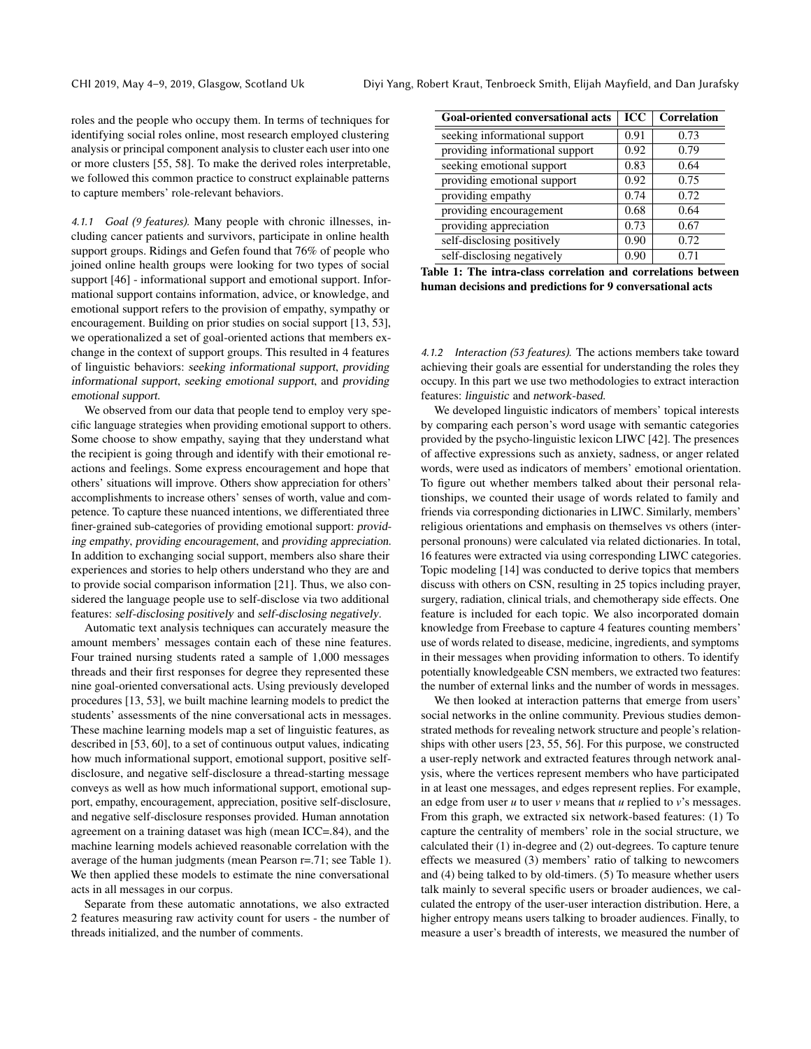roles and the people who occupy them. In terms of techniques for identifying social roles online, most research employed clustering analysis or principal component analysis to cluster each user into one or more clusters [\[55,](#page-11-6) [58\]](#page-11-7). To make the derived roles interpretable, we followed this common practice to construct explainable patterns to capture members' role-relevant behaviors.

4.1.1 Goal (9 features). Many people with chronic illnesses, including cancer patients and survivors, participate in online health support groups. Ridings and Gefen found that 76% of people who joined online health groups were looking for two types of social support [\[46\]](#page-10-27) - informational support and emotional support. Informational support contains information, advice, or knowledge, and emotional support refers to the provision of empathy, sympathy or encouragement. Building on prior studies on social support [\[13,](#page-10-28) [53\]](#page-11-1), we operationalized a set of goal-oriented actions that members exchange in the context of support groups. This resulted in 4 features of linguistic behaviors: seeking informational support, providing informational support, seeking emotional support, and providing emotional support.

We observed from our data that people tend to employ very specific language strategies when providing emotional support to others. Some choose to show empathy, saying that they understand what the recipient is going through and identify with their emotional reactions and feelings. Some express encouragement and hope that others' situations will improve. Others show appreciation for others' accomplishments to increase others' senses of worth, value and competence. To capture these nuanced intentions, we differentiated three finer-grained sub-categories of providing emotional support: providing empathy, providing encouragement, and providing appreciation. In addition to exchanging social support, members also share their experiences and stories to help others understand who they are and to provide social comparison information [\[21\]](#page-10-29). Thus, we also considered the language people use to self-disclose via two additional features: self-disclosing positively and self-disclosing negatively.

Automatic text analysis techniques can accurately measure the amount members' messages contain each of these nine features. Four trained nursing students rated a sample of 1,000 messages threads and their first responses for degree they represented these nine goal-oriented conversational acts. Using previously developed procedures [\[13,](#page-10-28) [53\]](#page-11-1), we built machine learning models to predict the students' assessments of the nine conversational acts in messages. These machine learning models map a set of linguistic features, as described in [\[53,](#page-11-1) [60\]](#page-11-11), to a set of continuous output values, indicating how much informational support, emotional support, positive selfdisclosure, and negative self-disclosure a thread-starting message conveys as well as how much informational support, emotional support, empathy, encouragement, appreciation, positive self-disclosure, and negative self-disclosure responses provided. Human annotation agreement on a training dataset was high (mean ICC=.84), and the machine learning models achieved reasonable correlation with the average of the human judgments (mean Pearson r=.71; see Table [1\)](#page-3-0). We then applied these models to estimate the nine conversational acts in all messages in our corpus.

Separate from these automatic annotations, we also extracted 2 features measuring raw activity count for users - the number of threads initialized, and the number of comments.

<span id="page-3-0"></span>

| <b>Goal-oriented conversational acts</b> | ICC  | Correlation |
|------------------------------------------|------|-------------|
| seeking informational support            | 0.91 | 0.73        |
| providing informational support          | 0.92 | 0.79        |
| seeking emotional support                | 0.83 | 0.64        |
| providing emotional support              | 0.92 | 0.75        |
| providing empathy                        | 0.74 | 0.72        |
| providing encouragement                  | 0.68 | 0.64        |
| providing appreciation                   | 0.73 | 0.67        |
| self-disclosing positively               | 0.90 | 0.72        |
| self-disclosing negatively               | 0.90 | 0.71        |

Table 1: The intra-class correlation and correlations between human decisions and predictions for 9 conversational acts

4.1.2 Interaction (53 features). The actions members take toward achieving their goals are essential for understanding the roles they occupy. In this part we use two methodologies to extract interaction features: linguistic and network-based.

We developed linguistic indicators of members' topical interests by comparing each person's word usage with semantic categories provided by the psycho-linguistic lexicon LIWC [\[42\]](#page-10-30). The presences of affective expressions such as anxiety, sadness, or anger related words, were used as indicators of members' emotional orientation. To figure out whether members talked about their personal relationships, we counted their usage of words related to family and friends via corresponding dictionaries in LIWC. Similarly, members' religious orientations and emphasis on themselves vs others (interpersonal pronouns) were calculated via related dictionaries. In total, 16 features were extracted via using corresponding LIWC categories. Topic modeling [\[14\]](#page-10-31) was conducted to derive topics that members discuss with others on CSN, resulting in 25 topics including prayer, surgery, radiation, clinical trials, and chemotherapy side effects. One feature is included for each topic. We also incorporated domain knowledge from Freebase to capture 4 features counting members' use of words related to disease, medicine, ingredients, and symptoms in their messages when providing information to others. To identify potentially knowledgeable CSN members, we extracted two features: the number of external links and the number of words in messages.

We then looked at interaction patterns that emerge from users' social networks in the online community. Previous studies demonstrated methods for revealing network structure and people's relationships with other users [\[23,](#page-10-32) [55,](#page-11-6) [56\]](#page-11-12). For this purpose, we constructed a user-reply network and extracted features through network analysis, where the vertices represent members who have participated in at least one messages, and edges represent replies. For example, an edge from user *u* to user *v* means that *u* replied to *v*'s messages. From this graph, we extracted six network-based features: (1) To capture the centrality of members' role in the social structure, we calculated their (1) in-degree and (2) out-degrees. To capture tenure effects we measured (3) members' ratio of talking to newcomers and (4) being talked to by old-timers. (5) To measure whether users talk mainly to several specific users or broader audiences, we calculated the entropy of the user-user interaction distribution. Here, a higher entropy means users talking to broader audiences. Finally, to measure a user's breadth of interests, we measured the number of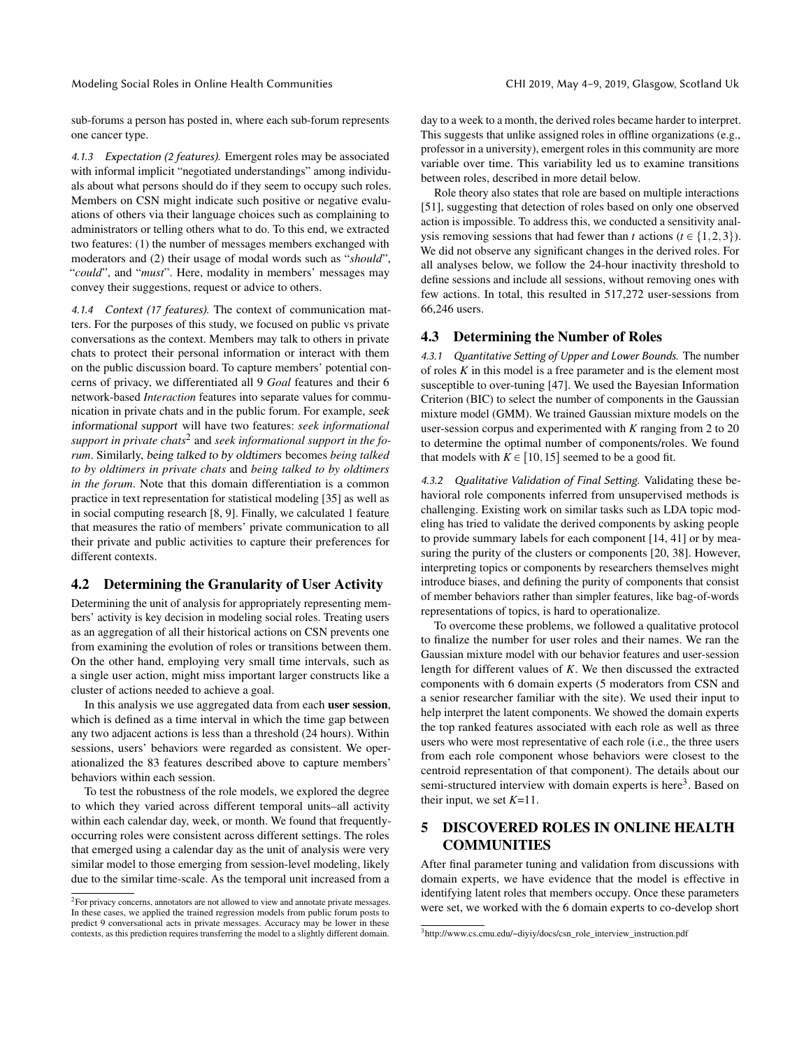Modeling Social Roles in Online Health Communities CHI 2019, May 4-9, 2019, Glasgow, Scotland Uk

sub-forums a person has posted in, where each sub-forum represents one cancer type.

4.1.3 Expectation (2 features). Emergent roles may be associated with informal implicit "negotiated understandings" among individuals about what persons should do if they seem to occupy such roles. Members on CSN might indicate such positive or negative evaluations of others via their language choices such as complaining to administrators or telling others what to do. To this end, we extracted two features: (1) the number of messages members exchanged with moderators and (2) their usage of modal words such as "*should*", "*could*", and "*must*". Here, modality in members' messages may convey their suggestions, request or advice to others.

4.1.4 Context (17 features). The context of communication matters. For the purposes of this study, we focused on public vs private conversations as the context. Members may talk to others in private chats to protect their personal information or interact with them on the public discussion board. To capture members' potential concerns of privacy, we differentiated all 9 *Goal* features and their 6 network-based *Interaction* features into separate values for communication in private chats and in the public forum. For example, seek informational support will have two features: *seek informational support in private chats*[2](#page-4-0) and *seek informational support in the forum*. Similarly, being talked to by oldtimers becomes *being talked to by oldtimers in private chats* and *being talked to by oldtimers in the forum*. Note that this domain differentiation is a common practice in text representation for statistical modeling [\[35\]](#page-10-33) as well as in social computing research [\[8,](#page-10-34) [9\]](#page-10-35). Finally, we calculated 1 feature that measures the ratio of members' private communication to all their private and public activities to capture their preferences for different contexts.

# 4.2 Determining the Granularity of User Activity

Determining the unit of analysis for appropriately representing members' activity is key decision in modeling social roles. Treating users as an aggregation of all their historical actions on CSN prevents one from examining the evolution of roles or transitions between them. On the other hand, employing very small time intervals, such as a single user action, might miss important larger constructs like a cluster of actions needed to achieve a goal.

In this analysis we use aggregated data from each user session, which is defined as a time interval in which the time gap between any two adjacent actions is less than a threshold (24 hours). Within sessions, users' behaviors were regarded as consistent. We operationalized the 83 features described above to capture members' behaviors within each session.

To test the robustness of the role models, we explored the degree to which they varied across different temporal units–all activity within each calendar day, week, or month. We found that frequentlyoccurring roles were consistent across different settings. The roles that emerged using a calendar day as the unit of analysis were very similar model to those emerging from session-level modeling, likely due to the similar time-scale. As the temporal unit increased from a day to a week to a month, the derived roles became harder to interpret. This suggests that unlike assigned roles in offline organizations (e.g., professor in a university), emergent roles in this community are more variable over time. This variability led us to examine transitions between roles, described in more detail below.

Role theory also states that role are based on multiple interactions [\[51\]](#page-11-8), suggesting that detection of roles based on only one observed action is impossible. To address this, we conducted a sensitivity analysis removing sessions that had fewer than *t* actions ( $t \in \{1,2,3\}$ ). We did not observe any significant changes in the derived roles. For all analyses below, we follow the 24-hour inactivity threshold to define sessions and include all sessions, without removing ones with few actions. In total, this resulted in 517,272 user-sessions from 66,246 users.

#### 4.3 Determining the Number of Roles

4.3.1 Quantitative Setting of Upper and Lower Bounds. The number of roles *K* in this model is a free parameter and is the element most susceptible to over-tuning [\[47\]](#page-10-36). We used the Bayesian Information Criterion (BIC) to select the number of components in the Gaussian mixture model (GMM). We trained Gaussian mixture models on the user-session corpus and experimented with *K* ranging from 2 to 20 to determine the optimal number of components/roles. We found that models with  $K \in [10, 15]$  seemed to be a good fit.

4.3.2 Qualitative Validation of Final Setting. Validating these behavioral role components inferred from unsupervised methods is challenging. Existing work on similar tasks such as LDA topic modeling has tried to validate the derived components by asking people to provide summary labels for each component [\[14,](#page-10-31) [41\]](#page-10-37) or by measuring the purity of the clusters or components [\[20,](#page-10-38) [38\]](#page-10-39). However, interpreting topics or components by researchers themselves might introduce biases, and defining the purity of components that consist of member behaviors rather than simpler features, like bag-of-words representations of topics, is hard to operationalize.

To overcome these problems, we followed a qualitative protocol to finalize the number for user roles and their names. We ran the Gaussian mixture model with our behavior features and user-session length for different values of *K*. We then discussed the extracted components with 6 domain experts (5 moderators from CSN and a senior researcher familiar with the site). We used their input to help interpret the latent components. We showed the domain experts the top ranked features associated with each role as well as three users who were most representative of each role (i.e., the three users from each role component whose behaviors were closest to the centroid representation of that component). The details about our semi-structured interview with domain experts is here<sup>[3](#page-4-1)</sup>. Based on their input, we set  $K=11$ .

# 5 DISCOVERED ROLES IN ONLINE HEALTH COMMUNITIES

After final parameter tuning and validation from discussions with domain experts, we have evidence that the model is effective in identifying latent roles that members occupy. Once these parameters were set, we worked with the 6 domain experts to co-develop short

<span id="page-4-0"></span><sup>&</sup>lt;sup>2</sup>For privacy concerns, annotators are not allowed to view and annotate private messages. In these cases, we applied the trained regression models from public forum posts to predict 9 conversational acts in private messages. Accuracy may be lower in these contexts, as this prediction requires transferring the model to a slightly different domain.

<span id="page-4-1"></span><sup>3</sup>[http://www.cs.cmu.edu/~diyiy/docs/csn\\_role\\_interview\\_instruction.pdf](http://www.cs.cmu.edu/~diyiy/docs/csn_role_interview_instruction.pdf)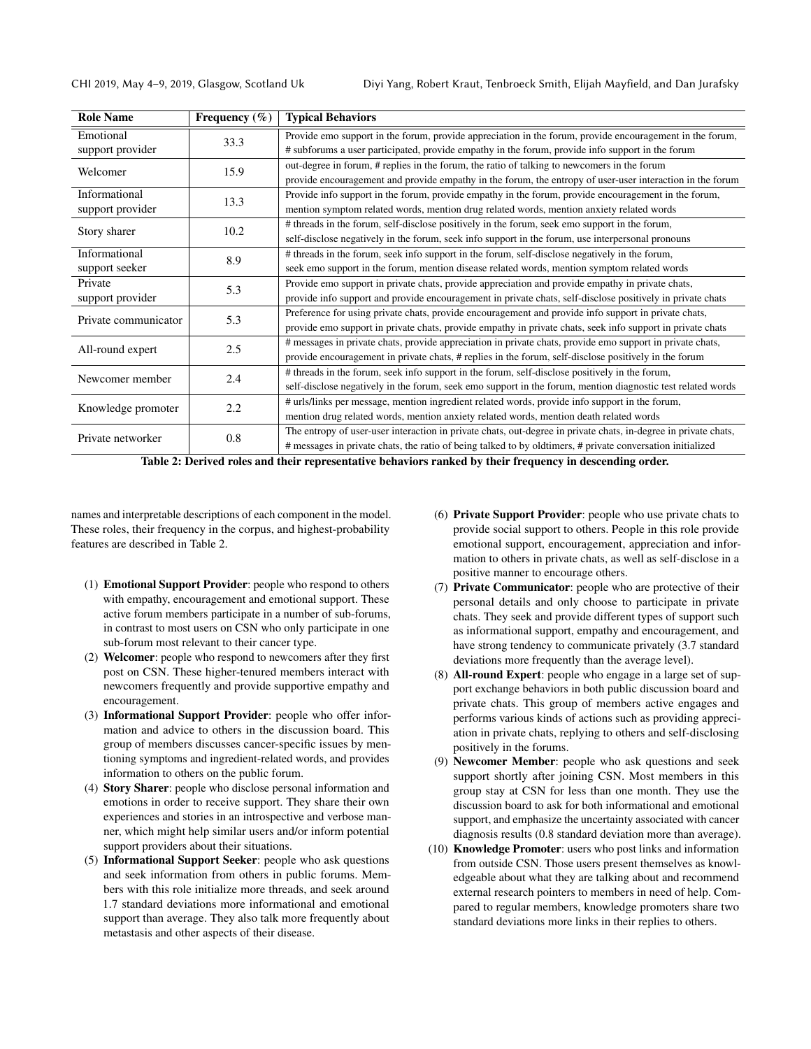CHI 2019, May 4–9, 2019, Glasgow, Scotland Uk Diyi Yang, Robert Kraut, Tenbroeck Smith, Elijah Mayfield, and Dan Jurafsky

<span id="page-5-0"></span>

| <b>Role Name</b>     | Frequency $(\% )$ | <b>Typical Behaviors</b>                                                                                        |
|----------------------|-------------------|-----------------------------------------------------------------------------------------------------------------|
| Emotional            | 33.3              | Provide emo support in the forum, provide appreciation in the forum, provide encouragement in the forum,        |
| support provider     |                   | # subforums a user participated, provide empathy in the forum, provide info support in the forum                |
| Welcomer             | 15.9              | out-degree in forum, # replies in the forum, the ratio of talking to new comers in the forum                    |
|                      |                   | provide encouragement and provide empathy in the forum, the entropy of user-user interaction in the forum       |
| Informational        | 13.3              | Provide info support in the forum, provide empathy in the forum, provide encouragement in the forum,            |
| support provider     |                   | mention symptom related words, mention drug related words, mention anxiety related words                        |
| Story sharer         | 10.2              | # threads in the forum, self-disclose positively in the forum, seek emo support in the forum,                   |
|                      |                   | self-disclose negatively in the forum, seek info support in the forum, use interpersonal pronouns               |
| Informational        | 8.9               | # threads in the forum, seek info support in the forum, self-disclose negatively in the forum,                  |
| support seeker       |                   | seek emo support in the forum, mention disease related words, mention symptom related words                     |
| Private              | 5.3               | Provide emo support in private chats, provide appreciation and provide empathy in private chats,                |
| support provider     |                   | provide info support and provide encouragement in private chats, self-disclose positively in private chats      |
| Private communicator | 5.3               | Preference for using private chats, provide encouragement and provide info support in private chats,            |
|                      |                   | provide emo support in private chats, provide empathy in private chats, seek info support in private chats      |
| All-round expert     | 2.5               | # messages in private chats, provide appreciation in private chats, provide emo support in private chats,       |
|                      |                   | provide encouragement in private chats, # replies in the forum, self-disclose positively in the forum           |
| Newcomer member      | 2.4               | # threads in the forum, seek info support in the forum, self-disclose positively in the forum,                  |
|                      |                   | self-disclose negatively in the forum, seek emo support in the forum, mention diagnostic test related words     |
| Knowledge promoter   | 2.2               | # urls/links per message, mention ingredient related words, provide info support in the forum,                  |
|                      |                   | mention drug related words, mention anxiety related words, mention death related words                          |
| Private networker    | 0.8               | The entropy of user-user interaction in private chats, out-degree in private chats, in-degree in private chats, |
|                      |                   | # messages in private chats, the ratio of being talked to by oldtimers, # private conversation initialized      |

Table 2: Derived roles and their representative behaviors ranked by their frequency in descending order.

names and interpretable descriptions of each component in the model. These roles, their frequency in the corpus, and highest-probability features are described in Table [2.](#page-5-0)

- (1) Emotional Support Provider: people who respond to others with empathy, encouragement and emotional support. These active forum members participate in a number of sub-forums, in contrast to most users on CSN who only participate in one sub-forum most relevant to their cancer type.
- (2) Welcomer: people who respond to newcomers after they first post on CSN. These higher-tenured members interact with newcomers frequently and provide supportive empathy and encouragement.
- (3) Informational Support Provider: people who offer information and advice to others in the discussion board. This group of members discusses cancer-specific issues by mentioning symptoms and ingredient-related words, and provides information to others on the public forum.
- (4) Story Sharer: people who disclose personal information and emotions in order to receive support. They share their own experiences and stories in an introspective and verbose manner, which might help similar users and/or inform potential support providers about their situations.
- (5) Informational Support Seeker: people who ask questions and seek information from others in public forums. Members with this role initialize more threads, and seek around 1.7 standard deviations more informational and emotional support than average. They also talk more frequently about metastasis and other aspects of their disease.
- (6) Private Support Provider: people who use private chats to provide social support to others. People in this role provide emotional support, encouragement, appreciation and information to others in private chats, as well as self-disclose in a positive manner to encourage others.
- (7) Private Communicator: people who are protective of their personal details and only choose to participate in private chats. They seek and provide different types of support such as informational support, empathy and encouragement, and have strong tendency to communicate privately (3.7 standard deviations more frequently than the average level).
- (8) All-round Expert: people who engage in a large set of support exchange behaviors in both public discussion board and private chats. This group of members active engages and performs various kinds of actions such as providing appreciation in private chats, replying to others and self-disclosing positively in the forums.
- (9) Newcomer Member: people who ask questions and seek support shortly after joining CSN. Most members in this group stay at CSN for less than one month. They use the discussion board to ask for both informational and emotional support, and emphasize the uncertainty associated with cancer diagnosis results (0.8 standard deviation more than average).
- (10) Knowledge Promoter: users who post links and information from outside CSN. Those users present themselves as knowledgeable about what they are talking about and recommend external research pointers to members in need of help. Compared to regular members, knowledge promoters share two standard deviations more links in their replies to others.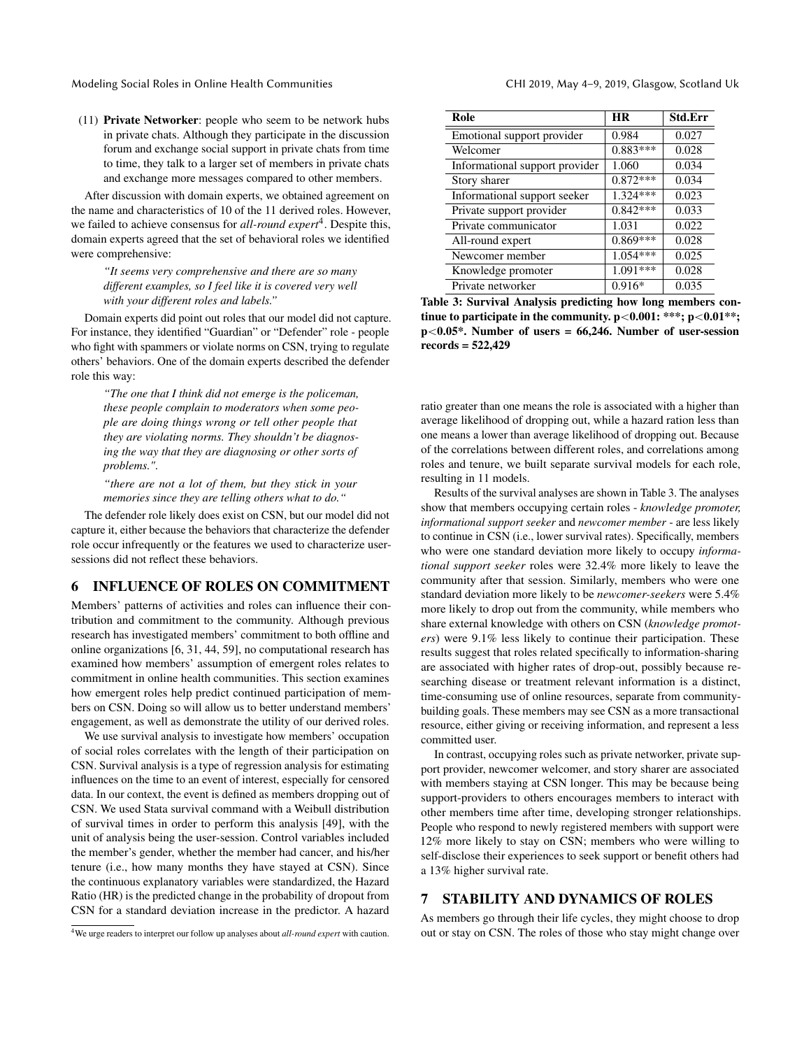Modeling Social Roles in Online Health Communities CHI 2019, May 4-9, 2019, Glasgow, Scotland Uk

(11) Private Networker: people who seem to be network hubs in private chats. Although they participate in the discussion forum and exchange social support in private chats from time to time, they talk to a larger set of members in private chats and exchange more messages compared to other members.

After discussion with domain experts, we obtained agreement on the name and characteristics of 10 of the 11 derived roles. However, we failed to achieve consensus for *all-round expert<sup>[4](#page-6-0)</sup>*. Despite this, domain experts agreed that the set of behavioral roles we identified were comprehensive:

*"It seems very comprehensive and there are so many different examples, so I feel like it is covered very well with your different roles and labels."*

Domain experts did point out roles that our model did not capture. For instance, they identified "Guardian" or "Defender" role - people who fight with spammers or violate norms on CSN, trying to regulate others' behaviors. One of the domain experts described the defender role this way:

*"The one that I think did not emerge is the policeman, these people complain to moderators when some people are doing things wrong or tell other people that they are violating norms. They shouldn't be diagnosing the way that they are diagnosing or other sorts of problems."*.

*"there are not a lot of them, but they stick in your memories since they are telling others what to do."*

The defender role likely does exist on CSN, but our model did not capture it, either because the behaviors that characterize the defender role occur infrequently or the features we used to characterize usersessions did not reflect these behaviors.

#### 6 INFLUENCE OF ROLES ON COMMITMENT

Members' patterns of activities and roles can influence their contribution and commitment to the community. Although previous research has investigated members' commitment to both offline and online organizations [\[6,](#page-10-40) [31,](#page-10-41) [44,](#page-10-42) [59\]](#page-11-3), no computational research has examined how members' assumption of emergent roles relates to commitment in online health communities. This section examines how emergent roles help predict continued participation of members on CSN. Doing so will allow us to better understand members' engagement, as well as demonstrate the utility of our derived roles.

We use survival analysis to investigate how members' occupation of social roles correlates with the length of their participation on CSN. Survival analysis is a type of regression analysis for estimating influences on the time to an event of interest, especially for censored data. In our context, the event is defined as members dropping out of CSN. We used Stata survival command with a Weibull distribution of survival times in order to perform this analysis [\[49\]](#page-11-13), with the unit of analysis being the user-session. Control variables included the member's gender, whether the member had cancer, and his/her tenure (i.e., how many months they have stayed at CSN). Since the continuous explanatory variables were standardized, the Hazard Ratio (HR) is the predicted change in the probability of dropout from CSN for a standard deviation increase in the predictor. A hazard

<span id="page-6-1"></span>

| Role                                | <b>HR</b>  | <b>Std.Err</b> |
|-------------------------------------|------------|----------------|
| Emotional support provider          | 0.984      | 0.027          |
| Welcomer                            | $0.883***$ | 0.028          |
| Informational support provider      | 1.060      | 0.034          |
| Story sharer                        | $0.872***$ | 0.034          |
| <b>Informational support seeker</b> | $1.324***$ | 0.023          |
| Private support provider            | $0.842***$ | 0.033          |
| Private communicator                | 1.031      | 0.022          |
| All-round expert                    | $0.869***$ | 0.028          |
| Newcomer member                     | $1.054***$ | 0.025          |
| Knowledge promoter                  | $1.091***$ | 0.028          |
| Private networker                   | $0.916*$   | 0.035          |

Table 3: Survival Analysis predicting how long members continue to participate in the community.  $p<0.001:$  \*\*\*;  $p<0.01**;$  $p < 0.05^*$ . Number of users = 66,246. Number of user-session records = 522,429

ratio greater than one means the role is associated with a higher than average likelihood of dropping out, while a hazard ration less than one means a lower than average likelihood of dropping out. Because of the correlations between different roles, and correlations among roles and tenure, we built separate survival models for each role, resulting in 11 models.

Results of the survival analyses are shown in Table [3.](#page-6-1) The analyses show that members occupying certain roles - *knowledge promoter, informational support seeker* and *newcomer member* - are less likely to continue in CSN (i.e., lower survival rates). Specifically, members who were one standard deviation more likely to occupy *informational support seeker* roles were 32.4% more likely to leave the community after that session. Similarly, members who were one standard deviation more likely to be *newcomer-seekers* were 5.4% more likely to drop out from the community, while members who share external knowledge with others on CSN (*knowledge promoters*) were 9.1% less likely to continue their participation. These results suggest that roles related specifically to information-sharing are associated with higher rates of drop-out, possibly because researching disease or treatment relevant information is a distinct, time-consuming use of online resources, separate from communitybuilding goals. These members may see CSN as a more transactional resource, either giving or receiving information, and represent a less committed user.

In contrast, occupying roles such as private networker, private support provider, newcomer welcomer, and story sharer are associated with members staying at CSN longer. This may be because being support-providers to others encourages members to interact with other members time after time, developing stronger relationships. People who respond to newly registered members with support were 12% more likely to stay on CSN; members who were willing to self-disclose their experiences to seek support or benefit others had a 13% higher survival rate.

### 7 STABILITY AND DYNAMICS OF ROLES

As members go through their life cycles, they might choose to drop out or stay on CSN. The roles of those who stay might change over

<span id="page-6-0"></span><sup>4</sup>We urge readers to interpret our follow up analyses about *all-round expert* with caution.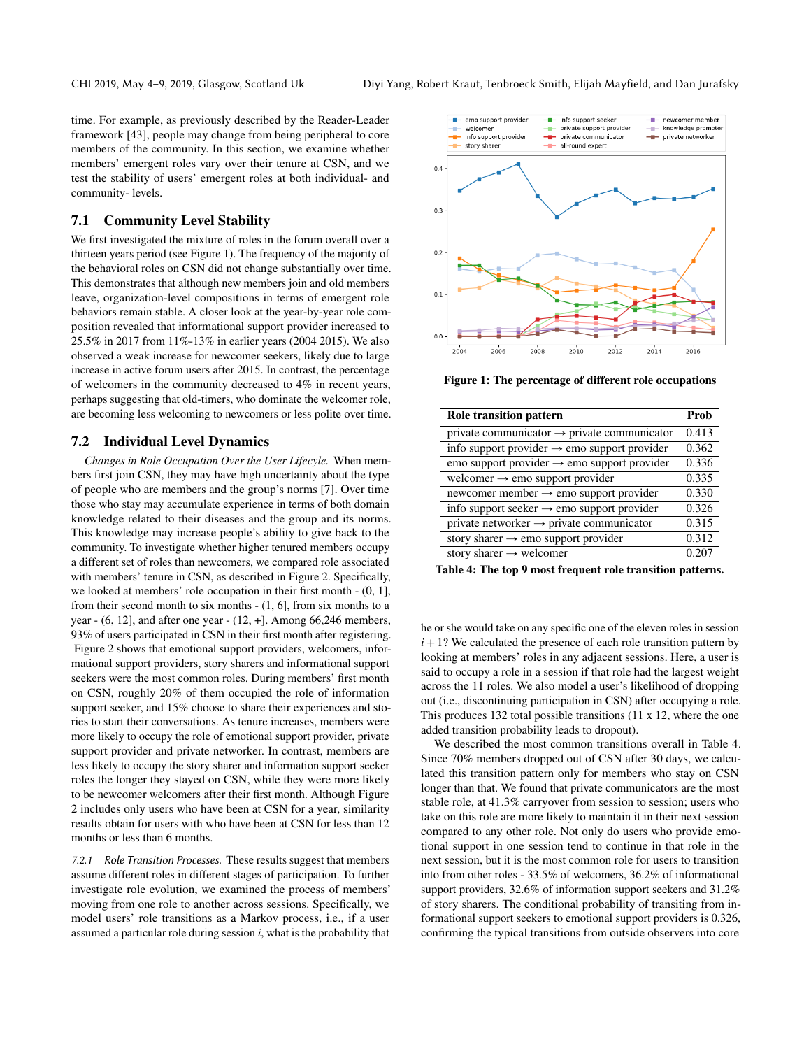time. For example, as previously described by the Reader-Leader framework [\[43\]](#page-10-43), people may change from being peripheral to core members of the community. In this section, we examine whether members' emergent roles vary over their tenure at CSN, and we test the stability of users' emergent roles at both individual- and community- levels.

### 7.1 Community Level Stability

We first investigated the mixture of roles in the forum overall over a thirteen years period (see Figure [1\)](#page-7-0). The frequency of the majority of the behavioral roles on CSN did not change substantially over time. This demonstrates that although new members join and old members leave, organization-level compositions in terms of emergent role behaviors remain stable. A closer look at the year-by-year role composition revealed that informational support provider increased to 25.5% in 2017 from 11%-13% in earlier years (2004 2015). We also observed a weak increase for newcomer seekers, likely due to large increase in active forum users after 2015. In contrast, the percentage of welcomers in the community decreased to 4% in recent years, perhaps suggesting that old-timers, who dominate the welcomer role, are becoming less welcoming to newcomers or less polite over time.

#### 7.2 Individual Level Dynamics

*Changes in Role Occupation Over the User Lifecyle.* When members first join CSN, they may have high uncertainty about the type of people who are members and the group's norms [\[7\]](#page-10-44). Over time those who stay may accumulate experience in terms of both domain knowledge related to their diseases and the group and its norms. This knowledge may increase people's ability to give back to the community. To investigate whether higher tenured members occupy a different set of roles than newcomers, we compared role associated with members' tenure in CSN, as described in Figure [2.](#page-8-0) Specifically, we looked at members' role occupation in their first month - (0, 1], from their second month to six months - (1, 6], from six months to a year - (6, 12], and after one year - (12, +]. Among 66,246 members, 93% of users participated in CSN in their first month after registering. Figure [2](#page-8-0) shows that emotional support providers, welcomers, informational support providers, story sharers and informational support seekers were the most common roles. During members' first month on CSN, roughly 20% of them occupied the role of information support seeker, and 15% choose to share their experiences and stories to start their conversations. As tenure increases, members were more likely to occupy the role of emotional support provider, private support provider and private networker. In contrast, members are less likely to occupy the story sharer and information support seeker roles the longer they stayed on CSN, while they were more likely to be newcomer welcomers after their first month. Although Figure [2](#page-8-0) includes only users who have been at CSN for a year, similarity results obtain for users with who have been at CSN for less than 12 months or less than 6 months.

7.2.1 Role Transition Processes. These results suggest that members assume different roles in different stages of participation. To further investigate role evolution, we examined the process of members' moving from one role to another across sessions. Specifically, we model users' role transitions as a Markov process, i.e., if a user assumed a particular role during session *i*, what is the probability that

<span id="page-7-0"></span>

Figure 1: The percentage of different role occupations

<span id="page-7-1"></span>

| <b>Role transition pattern</b>                           |       |
|----------------------------------------------------------|-------|
| private communicator $\rightarrow$ private communicator  | 0.413 |
| info support provider $\rightarrow$ emo support provider | 0.362 |
| emo support provider $\rightarrow$ emo support provider  | 0.336 |
| welcomer $\rightarrow$ emo support provider              | 0.335 |
| newcomer member $\rightarrow$ emo support provider       | 0.330 |
| info support seeker $\rightarrow$ emo support provider   | 0.326 |
| private networker $\rightarrow$ private communicator     | 0.315 |
| story share $\rightarrow$ emo support provider           | 0.312 |
| story share $\rightarrow$ welcomer                       | 0.207 |

Table 4: The top 9 most frequent role transition patterns.

he or she would take on any specific one of the eleven roles in session  $i+1$ ? We calculated the presence of each role transition pattern by looking at members' roles in any adjacent sessions. Here, a user is said to occupy a role in a session if that role had the largest weight across the 11 roles. We also model a user's likelihood of dropping out (i.e., discontinuing participation in CSN) after occupying a role. This produces 132 total possible transitions (11 x 12, where the one added transition probability leads to dropout).

We described the most common transitions overall in Table [4.](#page-7-1) Since 70% members dropped out of CSN after 30 days, we calculated this transition pattern only for members who stay on CSN longer than that. We found that private communicators are the most stable role, at 41.3% carryover from session to session; users who take on this role are more likely to maintain it in their next session compared to any other role. Not only do users who provide emotional support in one session tend to continue in that role in the next session, but it is the most common role for users to transition into from other roles - 33.5% of welcomers, 36.2% of informational support providers, 32.6% of information support seekers and 31.2% of story sharers. The conditional probability of transiting from informational support seekers to emotional support providers is 0.326, confirming the typical transitions from outside observers into core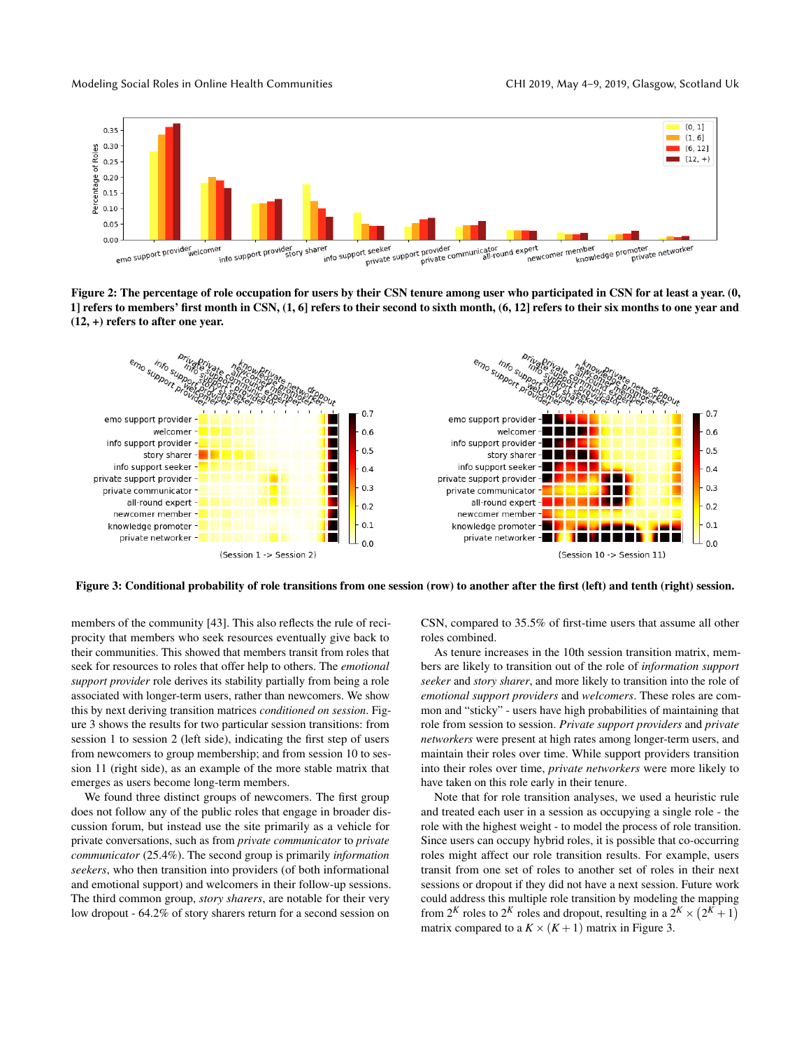<span id="page-8-0"></span>

Figure 2: The percentage of role occupation for users by their CSN tenure among user who participated in CSN for at least a year. (0, 1] refers to members' first month in CSN, (1, 6] refers to their second to sixth month, (6, 12] refers to their six months to one year and (12, +) refers to after one year.

<span id="page-8-1"></span>

Figure 3: Conditional probability of role transitions from one session (row) to another after the first (left) and tenth (right) session.

members of the community [\[43\]](#page-10-43). This also reflects the rule of reciprocity that members who seek resources eventually give back to their communities. This showed that members transit from roles that seek for resources to roles that offer help to others. The *emotional support provider* role derives its stability partially from being a role associated with longer-term users, rather than newcomers. We show this by next deriving transition matrices *conditioned on session*. Figure [3](#page-8-1) shows the results for two particular session transitions: from session 1 to session 2 (left side), indicating the first step of users from newcomers to group membership; and from session 10 to session 11 (right side), as an example of the more stable matrix that emerges as users become long-term members.

We found three distinct groups of newcomers. The first group does not follow any of the public roles that engage in broader discussion forum, but instead use the site primarily as a vehicle for private conversations, such as from *private communicator* to *private communicator* (25.4%). The second group is primarily *information seekers*, who then transition into providers (of both informational and emotional support) and welcomers in their follow-up sessions. The third common group, *story sharers*, are notable for their very low dropout - 64.2% of story sharers return for a second session on

CSN, compared to 35.5% of first-time users that assume all other roles combined.

As tenure increases in the 10th session transition matrix, members are likely to transition out of the role of *information support seeker* and *story sharer*, and more likely to transition into the role of *emotional support providers* and *welcomers*. These roles are common and "sticky" - users have high probabilities of maintaining that role from session to session. *Private support providers* and *private networkers* were present at high rates among longer-term users, and maintain their roles over time. While support providers transition into their roles over time, *private networkers* were more likely to have taken on this role early in their tenure.

Note that for role transition analyses, we used a heuristic rule and treated each user in a session as occupying a single role - the role with the highest weight - to model the process of role transition. Since users can occupy hybrid roles, it is possible that co-occurring roles might affect our role transition results. For example, users transit from one set of roles to another set of roles in their next sessions or dropout if they did not have a next session. Future work could address this multiple role transition by modeling the mapping from  $2^K$  roles to  $2^K$  roles and dropout, resulting in a  $2^K \times (2^K + 1)$ matrix compared to a  $K \times (K + 1)$  matrix in Figure [3.](#page-8-1)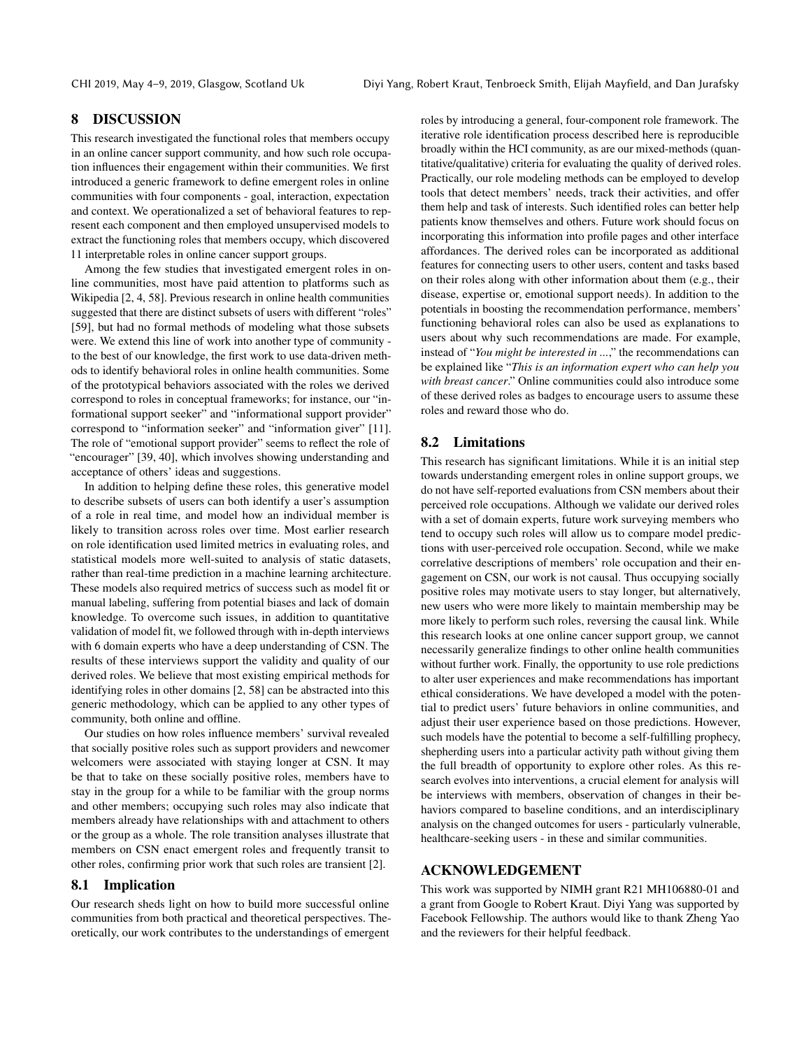# 8 DISCUSSION

This research investigated the functional roles that members occupy in an online cancer support community, and how such role occupation influences their engagement within their communities. We first introduced a generic framework to define emergent roles in online communities with four components - goal, interaction, expectation and context. We operationalized a set of behavioral features to represent each component and then employed unsupervised models to extract the functioning roles that members occupy, which discovered 11 interpretable roles in online cancer support groups.

Among the few studies that investigated emergent roles in online communities, most have paid attention to platforms such as Wikipedia [\[2,](#page-10-11) [4,](#page-10-45) [58\]](#page-11-7). Previous research in online health communities suggested that there are distinct subsets of users with different "roles" [\[59\]](#page-11-3), but had no formal methods of modeling what those subsets were. We extend this line of work into another type of community to the best of our knowledge, the first work to use data-driven methods to identify behavioral roles in online health communities. Some of the prototypical behaviors associated with the roles we derived correspond to roles in conceptual frameworks; for instance, our "informational support seeker" and "informational support provider" correspond to "information seeker" and "information giver" [\[11\]](#page-10-46). The role of "emotional support provider" seems to reflect the role of "encourager" [\[39,](#page-10-5) [40\]](#page-10-47), which involves showing understanding and acceptance of others' ideas and suggestions.

In addition to helping define these roles, this generative model to describe subsets of users can both identify a user's assumption of a role in real time, and model how an individual member is likely to transition across roles over time. Most earlier research on role identification used limited metrics in evaluating roles, and statistical models more well-suited to analysis of static datasets, rather than real-time prediction in a machine learning architecture. These models also required metrics of success such as model fit or manual labeling, suffering from potential biases and lack of domain knowledge. To overcome such issues, in addition to quantitative validation of model fit, we followed through with in-depth interviews with 6 domain experts who have a deep understanding of CSN. The results of these interviews support the validity and quality of our derived roles. We believe that most existing empirical methods for identifying roles in other domains [\[2,](#page-10-11) [58\]](#page-11-7) can be abstracted into this generic methodology, which can be applied to any other types of community, both online and offline.

Our studies on how roles influence members' survival revealed that socially positive roles such as support providers and newcomer welcomers were associated with staying longer at CSN. It may be that to take on these socially positive roles, members have to stay in the group for a while to be familiar with the group norms and other members; occupying such roles may also indicate that members already have relationships with and attachment to others or the group as a whole. The role transition analyses illustrate that members on CSN enact emergent roles and frequently transit to other roles, confirming prior work that such roles are transient [\[2\]](#page-10-11).

### 8.1 Implication

Our research sheds light on how to build more successful online communities from both practical and theoretical perspectives. Theoretically, our work contributes to the understandings of emergent

roles by introducing a general, four-component role framework. The iterative role identification process described here is reproducible broadly within the HCI community, as are our mixed-methods (quantitative/qualitative) criteria for evaluating the quality of derived roles. Practically, our role modeling methods can be employed to develop tools that detect members' needs, track their activities, and offer them help and task of interests. Such identified roles can better help patients know themselves and others. Future work should focus on incorporating this information into profile pages and other interface affordances. The derived roles can be incorporated as additional features for connecting users to other users, content and tasks based on their roles along with other information about them (e.g., their disease, expertise or, emotional support needs). In addition to the potentials in boosting the recommendation performance, members' functioning behavioral roles can also be used as explanations to users about why such recommendations are made. For example, instead of "*You might be interested in ...*," the recommendations can be explained like "*This is an information expert who can help you with breast cancer*." Online communities could also introduce some of these derived roles as badges to encourage users to assume these roles and reward those who do.

#### 8.2 Limitations

This research has significant limitations. While it is an initial step towards understanding emergent roles in online support groups, we do not have self-reported evaluations from CSN members about their perceived role occupations. Although we validate our derived roles with a set of domain experts, future work surveying members who tend to occupy such roles will allow us to compare model predictions with user-perceived role occupation. Second, while we make correlative descriptions of members' role occupation and their engagement on CSN, our work is not causal. Thus occupying socially positive roles may motivate users to stay longer, but alternatively, new users who were more likely to maintain membership may be more likely to perform such roles, reversing the causal link. While this research looks at one online cancer support group, we cannot necessarily generalize findings to other online health communities without further work. Finally, the opportunity to use role predictions to alter user experiences and make recommendations has important ethical considerations. We have developed a model with the potential to predict users' future behaviors in online communities, and adjust their user experience based on those predictions. However, such models have the potential to become a self-fulfilling prophecy, shepherding users into a particular activity path without giving them the full breadth of opportunity to explore other roles. As this research evolves into interventions, a crucial element for analysis will be interviews with members, observation of changes in their behaviors compared to baseline conditions, and an interdisciplinary analysis on the changed outcomes for users - particularly vulnerable, healthcare-seeking users - in these and similar communities.

#### ACKNOWLEDGEMENT

This work was supported by NIMH grant R21 MH106880-01 and a grant from Google to Robert Kraut. Diyi Yang was supported by Facebook Fellowship. The authors would like to thank Zheng Yao and the reviewers for their helpful feedback.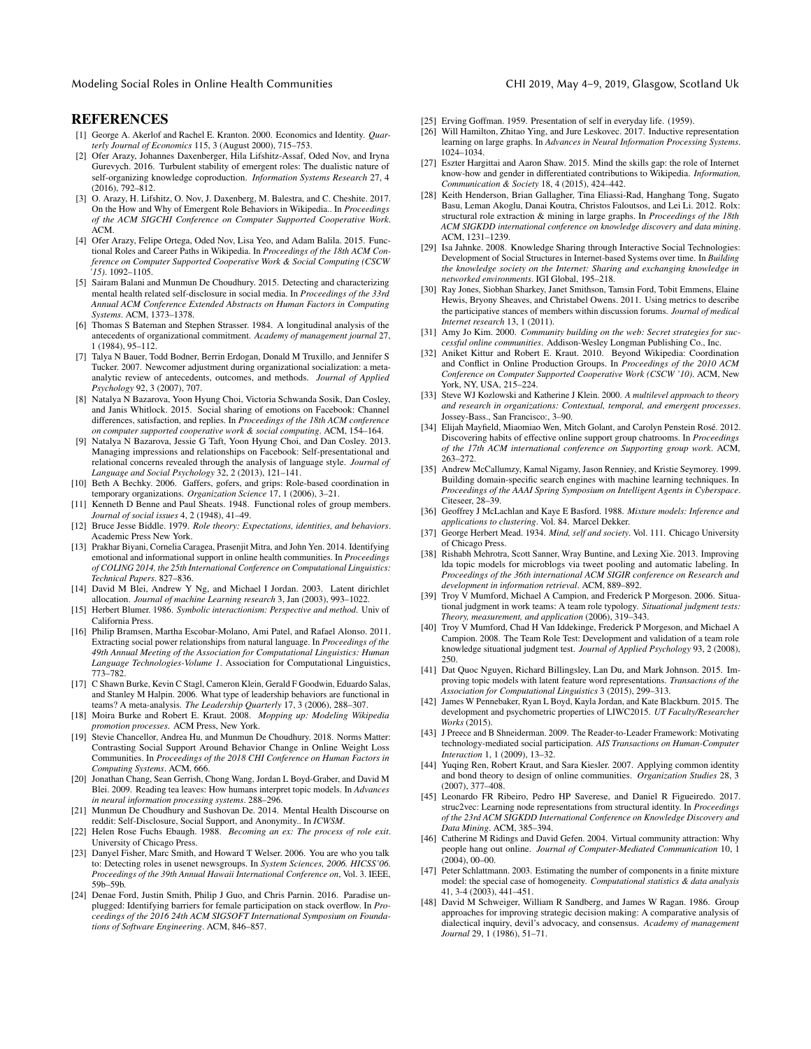Modeling Social Roles in Online Health Communities CHI 2019, May 4-9, 2019, Glasgow, Scotland Uk

#### **REFERENCES**

- <span id="page-10-10"></span>[1] George A. Akerlof and Rachel E. Kranton. 2000. Economics and Identity. *Quarterly Journal of Economics* 115, 3 (August 2000), 715–753.
- <span id="page-10-11"></span>[2] Ofer Arazy, Johannes Daxenberger, Hila Lifshitz-Assaf, Oded Nov, and Iryna Gurevych. 2016. Turbulent stability of emergent roles: The dualistic nature of self-organizing knowledge coproduction. *Information Systems Research* 27, 4 (2016), 792–812.
- <span id="page-10-15"></span>[3] O. Arazy, H. Lifshitz, O. Nov, J. Daxenberg, M. Balestra, and C. Cheshite. 2017. On the How and Why of Emergent Role Behaviors in Wikipedia.. In *Proceedings of the ACM SIGCHI Conference on Computer Supported Cooperative Work*. ACM.
- <span id="page-10-45"></span>[4] Ofer Arazy, Felipe Ortega, Oded Nov, Lisa Yeo, and Adam Balila. 2015. Functional Roles and Career Paths in Wikipedia. In *Proceedings of the 18th ACM Conference on Computer Supported Cooperative Work & Social Computing (CSCW '15)*. 1092–1105.
- <span id="page-10-1"></span>[5] Sairam Balani and Munmun De Choudhury. 2015. Detecting and characterizing mental health related self-disclosure in social media. In *Proceedings of the 33rd Annual ACM Conference Extended Abstracts on Human Factors in Computing Systems*. ACM, 1373–1378.
- <span id="page-10-40"></span>[6] Thomas S Bateman and Stephen Strasser. 1984. A longitudinal analysis of the antecedents of organizational commitment. *Academy of management journal* 27, 1 (1984), 95–112.
- <span id="page-10-44"></span>[7] Talya N Bauer, Todd Bodner, Berrin Erdogan, Donald M Truxillo, and Jennifer S Tucker. 2007. Newcomer adjustment during organizational socialization: a metaanalytic review of antecedents, outcomes, and methods. *Journal of Applied Psychology* 92, 3 (2007), 707.
- <span id="page-10-34"></span>[8] Natalya N Bazarova, Yoon Hyung Choi, Victoria Schwanda Sosik, Dan Cosley, and Janis Whitlock. 2015. Social sharing of emotions on Facebook: Channel differences, satisfaction, and replies. In *Proceedings of the 18th ACM conference on computer supported cooperative work & social computing*. ACM, 154–164.
- <span id="page-10-35"></span>[9] Natalya N Bazarova, Jessie G Taft, Yoon Hyung Choi, and Dan Cosley. 2013. Managing impressions and relationships on Facebook: Self-presentational and relational concerns revealed through the analysis of language style. *Journal of Language and Social Psychology* 32, 2 (2013), 121–141.
- <span id="page-10-6"></span>[10] Beth A Bechky. 2006. Gaffers, gofers, and grips: Role-based coordination in temporary organizations. *Organization Science* 17, 1 (2006), 3–21.
- <span id="page-10-46"></span>[11] Kenneth D Benne and Paul Sheats. 1948. Functional roles of group members. *Journal of social issues* 4, 2 (1948), 41–49.
- <span id="page-10-12"></span>[12] Bruce Jesse Biddle. 1979. *Role theory: Expectations, identities, and behaviors*. Academic Press New York.
- <span id="page-10-28"></span>[13] Prakhar Biyani, Cornelia Caragea, Prasenjit Mitra, and John Yen. 2014. Identifying emotional and informational support in online health communities. In *Proceedings of COLING 2014, the 25th International Conference on Computational Linguistics: Technical Papers*. 827–836.
- <span id="page-10-31"></span>[14] David M Blei, Andrew Y Ng, and Michael I Jordan. 2003. Latent dirichlet allocation. *Journal of machine Learning research* 3, Jan (2003), 993–1022.
- <span id="page-10-18"></span>[15] Herbert Blumer. 1986. *Symbolic interactionism: Perspective and method*. Univ of California Press.
- <span id="page-10-20"></span>[16] Philip Bramsen, Martha Escobar-Molano, Ami Patel, and Rafael Alonso. 2011. Extracting social power relationships from natural language. In *Proceedings of the 49th Annual Meeting of the Association for Computational Linguistics: Human Language Technologies-Volume 1*. Association for Computational Linguistics, 773–782.
- <span id="page-10-4"></span>[17] C Shawn Burke, Kevin C Stagl, Cameron Klein, Gerald F Goodwin, Eduardo Salas, and Stanley M Halpin. 2006. What type of leadership behaviors are functional in teams? A meta-analysis. *The Leadership Quarterly* 17, 3 (2006), 288–307.
- <span id="page-10-14"></span>[18] Moira Burke and Robert E. Kraut. 2008. *Mopping up: Modeling Wikipedia promotion processes*. ACM Press, New York.
- <span id="page-10-0"></span>[19] Stevie Chancellor, Andrea Hu, and Munmun De Choudhury. 2018. Norms Matter: Contrasting Social Support Around Behavior Change in Online Weight Loss Communities. In *Proceedings of the 2018 CHI Conference on Human Factors in Computing Systems*. ACM, 666.
- <span id="page-10-38"></span>[20] Jonathan Chang, Sean Gerrish, Chong Wang, Jordan L Boyd-Graber, and David M Blei. 2009. Reading tea leaves: How humans interpret topic models. In *Advances in neural information processing systems*. 288–296.
- <span id="page-10-29"></span>[21] Munmun De Choudhury and Sushovan De. 2014. Mental Health Discourse on reddit: Self-Disclosure, Social Support, and Anonymity.. In *ICWSM*.
- <span id="page-10-9"></span>[22] Helen Rose Fuchs Ebaugh. 1988. *Becoming an ex: The process of role exit*. University of Chicago Press.
- <span id="page-10-32"></span>[23] Danyel Fisher, Marc Smith, and Howard T Welser. 2006. You are who you talk to: Detecting roles in usenet newsgroups. In *System Sciences, 2006. HICSS'06. Proceedings of the 39th Annual Hawaii International Conference on*, Vol. 3. IEEE, 59b–59b.
- <span id="page-10-21"></span>[24] Denae Ford, Justin Smith, Philip J Guo, and Chris Parnin. 2016. Paradise unplugged: Identifying barriers for female participation on stack overflow. In *Proceedings of the 2016 24th ACM SIGSOFT International Symposium on Foundations of Software Engineering*. ACM, 846–857.
- <span id="page-10-13"></span>[25] Erving Goffman. 1959. Presentation of self in everyday life. (1959). [26] Will Hamilton. Zhitao Ying. and Jure Leskovec. 2017. Inductive real
- <span id="page-10-24"></span>Will Hamilton, Zhitao Ying, and Jure Leskovec. 2017. Inductive representation learning on large graphs. In *Advances in Neural Information Processing Systems*. 1024–1034.
- <span id="page-10-22"></span>[27] Eszter Hargittai and Aaron Shaw. 2015. Mind the skills gap: the role of Internet know-how and gender in differentiated contributions to Wikipedia. *Information, Communication & Society* 18, 4 (2015), 424–442.
- <span id="page-10-25"></span>[28] Keith Henderson, Brian Gallagher, Tina Eliassi-Rad, Hanghang Tong, Sugato Basu, Leman Akoglu, Danai Koutra, Christos Faloutsos, and Lei Li. 2012. Rolx: structural role extraction & mining in large graphs. In *Proceedings of the 18th ACM SIGKDD international conference on knowledge discovery and data mining*. ACM, 1231–1239.
- <span id="page-10-17"></span>[29] Isa Jahnke. 2008. Knowledge Sharing through Interactive Social Technologies: Development of Social Structures in Internet-based Systems over time. In *Building the knowledge society on the Internet: Sharing and exchanging knowledge in networked environments*. IGI Global, 195–218.
- <span id="page-10-3"></span>[30] Ray Jones, Siobhan Sharkey, Janet Smithson, Tamsin Ford, Tobit Emmens, Elaine Hewis, Bryony Sheaves, and Christabel Owens. 2011. Using metrics to describe the participative stances of members within discussion forums. *Journal of medical Internet research* 13, 1 (2011).
- <span id="page-10-41"></span>[31] Amy Jo Kim. 2000. *Community building on the web: Secret strategies for successful online communities*. Addison-Wesley Longman Publishing Co., Inc.
- <span id="page-10-7"></span>[32] Aniket Kittur and Robert E. Kraut. 2010. Beyond Wikipedia: Coordination and Conflict in Online Production Groups. In *Proceedings of the 2010 ACM Conference on Computer Supported Cooperative Work (CSCW '10)*. ACM, New York, NY, USA, 215–224.
- <span id="page-10-8"></span>[33] Steve WJ Kozlowski and Katherine J Klein. 2000. *A multilevel approach to theory and research in organizations: Contextual, temporal, and emergent processes*. Jossey-Bass., San Francisco:, 3–90.
- <span id="page-10-2"></span>[34] Elijah Mayfield, Miaomiao Wen, Mitch Golant, and Carolyn Penstein Rosé. 2012. Discovering habits of effective online support group chatrooms. In *Proceedings of the 17th ACM international conference on Supporting group work*. ACM, 263–272.
- <span id="page-10-33"></span>[35] Andrew McCallumzy, Kamal Nigamy, Jason Renniey, and Kristie Seymorey. 1999. Building domain-specific search engines with machine learning techniques. In *Proceedings of the AAAI Spring Symposium on Intelligent Agents in Cyberspace*. Citeseer, 28–39.
- <span id="page-10-23"></span>[36] Geoffrey J McLachlan and Kaye E Basford. 1988. *Mixture models: Inference and applications to clustering*. Vol. 84. Marcel Dekker.
- <span id="page-10-19"></span>[37] George Herbert Mead. 1934. *Mind, self and society*. Vol. 111. Chicago University of Chicago Press.
- <span id="page-10-39"></span>[38] Rishabh Mehrotra, Scott Sanner, Wray Buntine, and Lexing Xie. 2013. Improving lda topic models for microblogs via tweet pooling and automatic labeling. In *Proceedings of the 36th international ACM SIGIR conference on Research and development in information retrieval*. ACM, 889–892.
- <span id="page-10-5"></span>[39] Troy V Mumford, Michael A Campion, and Frederick P Morgeson. 2006. Situational judgment in work teams: A team role typology. *Situational judgment tests: Theory, measurement, and application* (2006), 319–343.
- <span id="page-10-47"></span>[40] Troy V Mumford, Chad H Van Iddekinge, Frederick P Morgeson, and Michael A Campion. 2008. The Team Role Test: Development and validation of a team role knowledge situational judgment test. *Journal of Applied Psychology* 93, 2 (2008), 250.
- <span id="page-10-37"></span>[41] Dat Quoc Nguyen, Richard Billingsley, Lan Du, and Mark Johnson. 2015. Improving topic models with latent feature word representations. *Transactions of the Association for Computational Linguistics* 3 (2015), 299–313.
- <span id="page-10-30"></span>[42] James W Pennebaker, Ryan L Boyd, Kayla Jordan, and Kate Blackburn. 2015. The development and psychometric properties of LIWC2015. *UT Faculty/Researcher Works* (2015).
- <span id="page-10-43"></span>[43] J Preece and B Shneiderman. 2009. The Reader-to-Leader Framework: Motivating technology-mediated social participation. *AIS Transactions on Human-Computer Interaction* 1, 1 (2009), 13–32.
- <span id="page-10-42"></span>[44] Yuqing Ren, Robert Kraut, and Sara Kiesler. 2007. Applying common identity and bond theory to design of online communities. *Organization Studies* 28, 3 (2007), 377–408.
- <span id="page-10-26"></span>[45] Leonardo FR Ribeiro, Pedro HP Saverese, and Daniel R Figueiredo. 2017. struc2vec: Learning node representations from structural identity. In *Proceedings of the 23rd ACM SIGKDD International Conference on Knowledge Discovery and Data Mining*. ACM, 385–394.
- <span id="page-10-27"></span>[46] Catherine M Ridings and David Gefen. 2004. Virtual community attraction: Why people hang out online. *Journal of Computer-Mediated Communication* 10, 1 (2004), 00–00.
- <span id="page-10-36"></span>[47] Peter Schlattmann. 2003. Estimating the number of components in a finite mixture model: the special case of homogeneity. *Computational statistics & data analysis* 41, 3-4 (2003), 441–451.
- <span id="page-10-16"></span>[48] David M Schweiger, William R Sandberg, and James W Ragan. 1986. Group approaches for improving strategic decision making: A comparative analysis of dialectical inquiry, devil's advocacy, and consensus. *Academy of management Journal* 29, 1 (1986), 51–71.